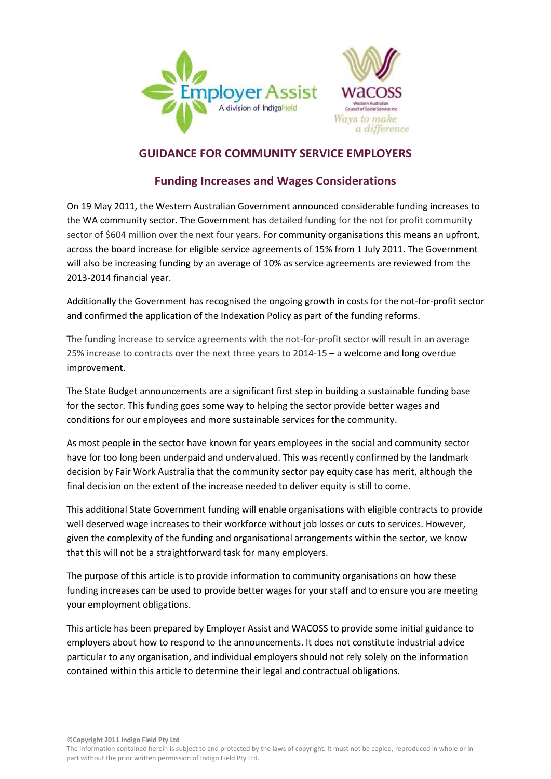



# **GUIDANCE FOR COMMUNITY SERVICE EMPLOYERS**

# **Funding Increases and Wages Considerations**

On 19 May 2011, the Western Australian Government announced considerable funding increases to the WA community sector. The Government has detailed funding for the not for profit community sector of \$604 million over the next four years. For community organisations this means an upfront, across the board increase for eligible service agreements of 15% from 1 July 2011. The Government will also be increasing funding by an average of 10% as service agreements are reviewed from the 2013-2014 financial year.

Additionally the Government has recognised the ongoing growth in costs for the not-for-profit sector and confirmed the application of the Indexation Policy as part of the funding reforms.

The funding increase to service agreements with the not-for-profit sector will result in an average 25% increase to contracts over the next three years to 2014-15 – a welcome and long overdue improvement.

The State Budget announcements are a significant first step in building a sustainable funding base for the sector. This funding goes some way to helping the sector provide better wages and conditions for our employees and more sustainable services for the community.

As most people in the sector have known for years employees in the social and community sector have for too long been underpaid and undervalued. This was recently confirmed by the landmark decision by Fair Work Australia that the community sector pay equity case has merit, although the final decision on the extent of the increase needed to deliver equity is still to come.

This additional State Government funding will enable organisations with eligible contracts to provide well deserved wage increases to their workforce without job losses or cuts to services. However, given the complexity of the funding and organisational arrangements within the sector, we know that this will not be a straightforward task for many employers.

The purpose of this article is to provide information to community organisations on how these funding increases can be used to provide better wages for your staff and to ensure you are meeting your employment obligations.

This article has been prepared by Employer Assist and WACOSS to provide some initial guidance to employers about how to respond to the announcements. It does not constitute industrial advice particular to any organisation, and individual employers should not rely solely on the information contained within this article to determine their legal and contractual obligations.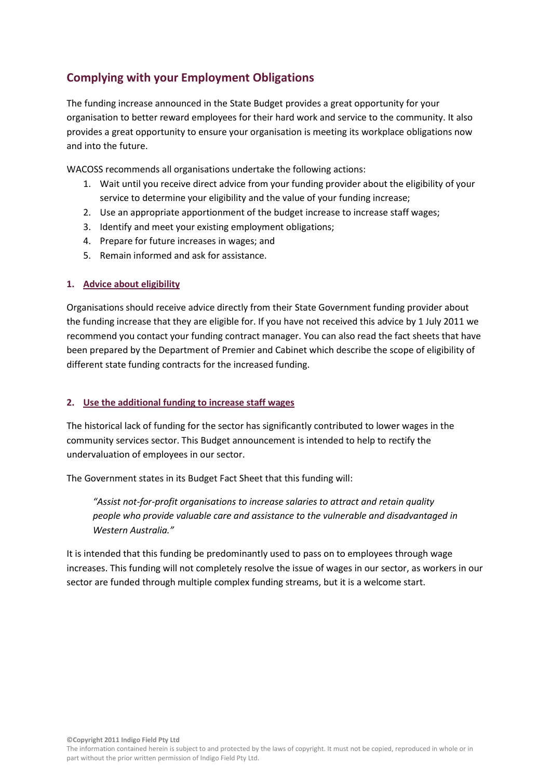# **Complying with your Employment Obligations**

The funding increase announced in the State Budget provides a great opportunity for your organisation to better reward employees for their hard work and service to the community. It also provides a great opportunity to ensure your organisation is meeting its workplace obligations now and into the future.

WACOSS recommends all organisations undertake the following actions:

- 1. Wait until you receive direct advice from your funding provider about the eligibility of your service to determine your eligibility and the value of your funding increase;
- 2. Use an appropriate apportionment of the budget increase to increase staff wages;
- 3. Identify and meet your existing employment obligations;
- 4. Prepare for future increases in wages; and
- 5. Remain informed and ask for assistance.

## **1. Advice about eligibility**

Organisations should receive advice directly from their State Government funding provider about the funding increase that they are eligible for. If you have not received this advice by 1 July 2011 we recommend you contact your funding contract manager. You can also read the fact sheets that have been prepared by the Department of Premier and Cabinet which describe the scope of eligibility of different state funding contracts for the increased funding.

#### **2. Use the additional funding to increase staff wages**

The historical lack of funding for the sector has significantly contributed to lower wages in the community services sector. This Budget announcement is intended to help to rectify the undervaluation of employees in our sector.

The Government states in its Budget Fact Sheet that this funding will:

*"Assist not-for-profit organisations to increase salaries to attract and retain quality people who provide valuable care and assistance to the vulnerable and disadvantaged in Western Australia."*

It is intended that this funding be predominantly used to pass on to employees through wage increases. This funding will not completely resolve the issue of wages in our sector, as workers in our sector are funded through multiple complex funding streams, but it is a welcome start.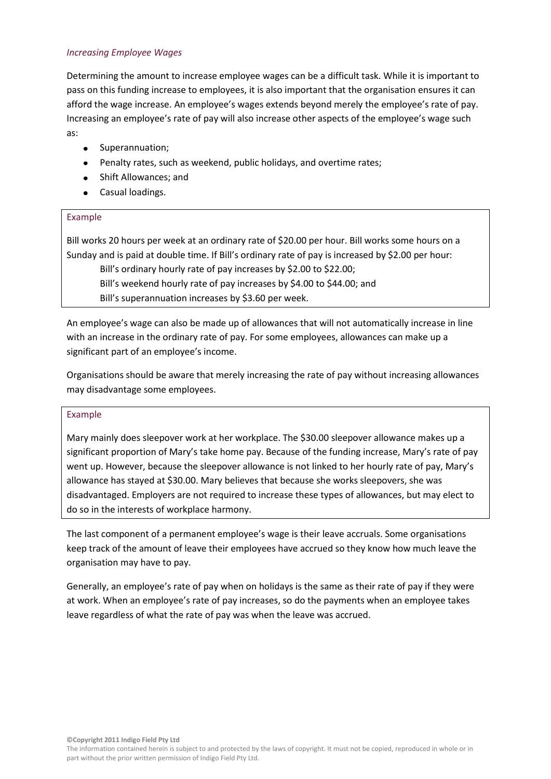### *Increasing Employee Wages*

Determining the amount to increase employee wages can be a difficult task. While it is important to pass on this funding increase to employees, it is also important that the organisation ensures it can afford the wage increase. An employee's wages extends beyond merely the employee's rate of pay. Increasing an employee's rate of pay will also increase other aspects of the employee's wage such as:

- **•** Superannuation;
- Penalty rates, such as weekend, public holidays, and overtime rates;
- Shift Allowances; and
- Casual loadings.

## Example

Bill works 20 hours per week at an ordinary rate of \$20.00 per hour. Bill works some hours on a Sunday and is paid at double time. If Bill's ordinary rate of pay is increased by \$2.00 per hour:

Bill's ordinary hourly rate of pay increases by \$2.00 to \$22.00;

Bill's weekend hourly rate of pay increases by \$4.00 to \$44.00; and Bill's superannuation increases by \$3.60 per week.

An employee's wage can also be made up of allowances that will not automatically increase in line with an increase in the ordinary rate of pay. For some employees, allowances can make up a significant part of an employee's income.

Organisations should be aware that merely increasing the rate of pay without increasing allowances may disadvantage some employees.

#### Example

Mary mainly does sleepover work at her workplace. The \$30.00 sleepover allowance makes up a significant proportion of Mary's take home pay. Because of the funding increase, Mary's rate of pay went up. However, because the sleepover allowance is not linked to her hourly rate of pay, Mary's allowance has stayed at \$30.00. Mary believes that because she works sleepovers, she was disadvantaged. Employers are not required to increase these types of allowances, but may elect to do so in the interests of workplace harmony.

The last component of a permanent employee's wage is their leave accruals. Some organisations keep track of the amount of leave their employees have accrued so they know how much leave the organisation may have to pay.

Generally, an employee's rate of pay when on holidays is the same as their rate of pay if they were at work. When an employee's rate of pay increases, so do the payments when an employee takes leave regardless of what the rate of pay was when the leave was accrued.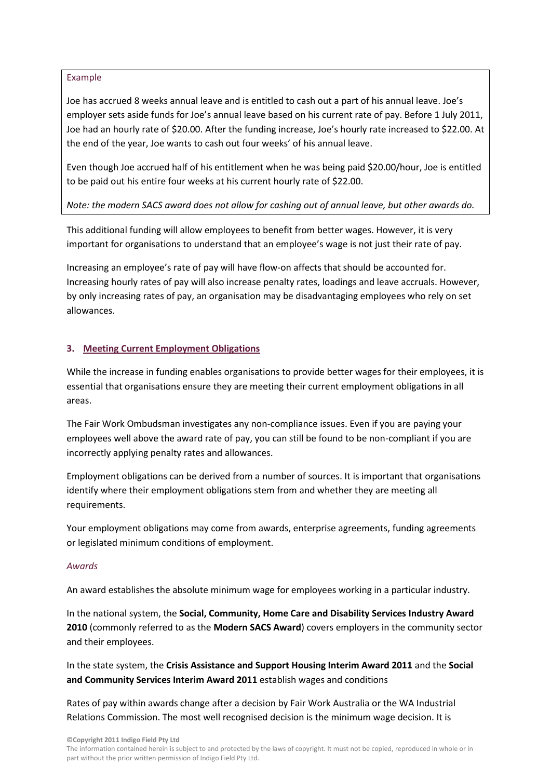#### Example

Joe has accrued 8 weeks annual leave and is entitled to cash out a part of his annual leave. Joe's employer sets aside funds for Joe's annual leave based on his current rate of pay. Before 1 July 2011, Joe had an hourly rate of \$20.00. After the funding increase, Joe's hourly rate increased to \$22.00. At the end of the year, Joe wants to cash out four weeks' of his annual leave.

Even though Joe accrued half of his entitlement when he was being paid \$20.00/hour, Joe is entitled to be paid out his entire four weeks at his current hourly rate of \$22.00.

## *Note: the modern SACS award does not allow for cashing out of annual leave, but other awards do.*

This additional funding will allow employees to benefit from better wages. However, it is very important for organisations to understand that an employee's wage is not just their rate of pay.

Increasing an employee's rate of pay will have flow-on affects that should be accounted for. Increasing hourly rates of pay will also increase penalty rates, loadings and leave accruals. However, by only increasing rates of pay, an organisation may be disadvantaging employees who rely on set allowances.

# **3. Meeting Current Employment Obligations**

While the increase in funding enables organisations to provide better wages for their employees, it is essential that organisations ensure they are meeting their current employment obligations in all areas.

The Fair Work Ombudsman investigates any non-compliance issues. Even if you are paying your employees well above the award rate of pay, you can still be found to be non-compliant if you are incorrectly applying penalty rates and allowances.

Employment obligations can be derived from a number of sources. It is important that organisations identify where their employment obligations stem from and whether they are meeting all requirements.

Your employment obligations may come from awards, enterprise agreements, funding agreements or legislated minimum conditions of employment.

#### *Awards*

An award establishes the absolute minimum wage for employees working in a particular industry.

In the national system, the **Social, Community, Home Care and Disability Services Industry Award 2010** (commonly referred to as the **Modern SACS Award**) covers employers in the community sector and their employees.

In the state system, the **Crisis Assistance and Support Housing Interim Award 2011** and the **Social and Community Services Interim Award 2011** establish wages and conditions

Rates of pay within awards change after a decision by Fair Work Australia or the WA Industrial Relations Commission. The most well recognised decision is the minimum wage decision. It is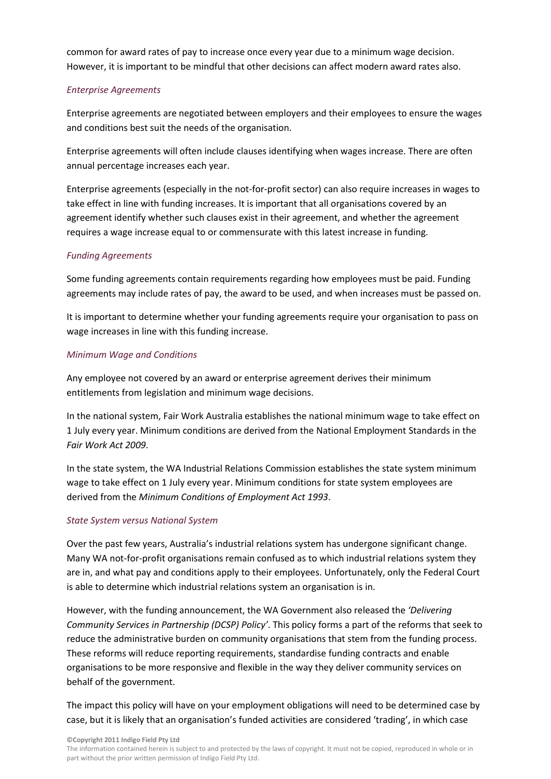common for award rates of pay to increase once every year due to a minimum wage decision. However, it is important to be mindful that other decisions can affect modern award rates also.

# *Enterprise Agreements*

Enterprise agreements are negotiated between employers and their employees to ensure the wages and conditions best suit the needs of the organisation.

Enterprise agreements will often include clauses identifying when wages increase. There are often annual percentage increases each year.

Enterprise agreements (especially in the not-for-profit sector) can also require increases in wages to take effect in line with funding increases. It is important that all organisations covered by an agreement identify whether such clauses exist in their agreement, and whether the agreement requires a wage increase equal to or commensurate with this latest increase in funding.

# *Funding Agreements*

Some funding agreements contain requirements regarding how employees must be paid. Funding agreements may include rates of pay, the award to be used, and when increases must be passed on.

It is important to determine whether your funding agreements require your organisation to pass on wage increases in line with this funding increase.

# *Minimum Wage and Conditions*

Any employee not covered by an award or enterprise agreement derives their minimum entitlements from legislation and minimum wage decisions.

In the national system, Fair Work Australia establishes the national minimum wage to take effect on 1 July every year. Minimum conditions are derived from the National Employment Standards in the *Fair Work Act 2009*.

In the state system, the WA Industrial Relations Commission establishes the state system minimum wage to take effect on 1 July every year. Minimum conditions for state system employees are derived from the *Minimum Conditions of Employment Act 1993*.

# *State System versus National System*

Over the past few years, Australia's industrial relations system has undergone significant change. Many WA not-for-profit organisations remain confused as to which industrial relations system they are in, and what pay and conditions apply to their employees. Unfortunately, only the Federal Court is able to determine which industrial relations system an organisation is in.

However, with the funding announcement, the WA Government also released the *'Delivering Community Services in Partnership (DCSP) Policy'*. This policy forms a part of the reforms that seek to reduce the administrative burden on community organisations that stem from the funding process. These reforms will reduce reporting requirements, standardise funding contracts and enable organisations to be more responsive and flexible in the way they deliver community services on behalf of the government.

The impact this policy will have on your employment obligations will need to be determined case by case, but it is likely that an organisation's funded activities are considered 'trading', in which case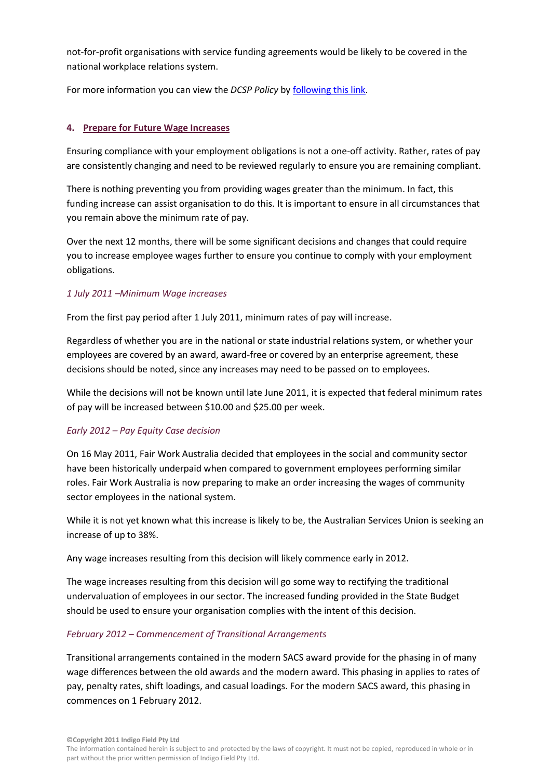not-for-profit organisations with service funding agreements would be likely to be covered in the national workplace relations system.

For more information you can view the *DCSP Policy* by [following this link.](http://www.dpc.wa.gov.au/Publications/EconomicAuditReport/Documents/Budget%20Fact%20Sheet%20-%20The%20DCSP%20Policy.pdf)

## **4. Prepare for Future Wage Increases**

Ensuring compliance with your employment obligations is not a one-off activity. Rather, rates of pay are consistently changing and need to be reviewed regularly to ensure you are remaining compliant.

There is nothing preventing you from providing wages greater than the minimum. In fact, this funding increase can assist organisation to do this. It is important to ensure in all circumstances that you remain above the minimum rate of pay.

Over the next 12 months, there will be some significant decisions and changes that could require you to increase employee wages further to ensure you continue to comply with your employment obligations.

## *1 July 2011 –Minimum Wage increases*

From the first pay period after 1 July 2011, minimum rates of pay will increase.

Regardless of whether you are in the national or state industrial relations system, or whether your employees are covered by an award, award-free or covered by an enterprise agreement, these decisions should be noted, since any increases may need to be passed on to employees.

While the decisions will not be known until late June 2011, it is expected that federal minimum rates of pay will be increased between \$10.00 and \$25.00 per week.

#### *Early 2012 – Pay Equity Case decision*

On 16 May 2011, Fair Work Australia decided that employees in the social and community sector have been historically underpaid when compared to government employees performing similar roles. Fair Work Australia is now preparing to make an order increasing the wages of community sector employees in the national system.

While it is not yet known what this increase is likely to be, the Australian Services Union is seeking an increase of up to 38%.

Any wage increases resulting from this decision will likely commence early in 2012.

The wage increases resulting from this decision will go some way to rectifying the traditional undervaluation of employees in our sector. The increased funding provided in the State Budget should be used to ensure your organisation complies with the intent of this decision.

# *February 2012 – Commencement of Transitional Arrangements*

Transitional arrangements contained in the modern SACS award provide for the phasing in of many wage differences between the old awards and the modern award. This phasing in applies to rates of pay, penalty rates, shift loadings, and casual loadings. For the modern SACS award, this phasing in commences on 1 February 2012.